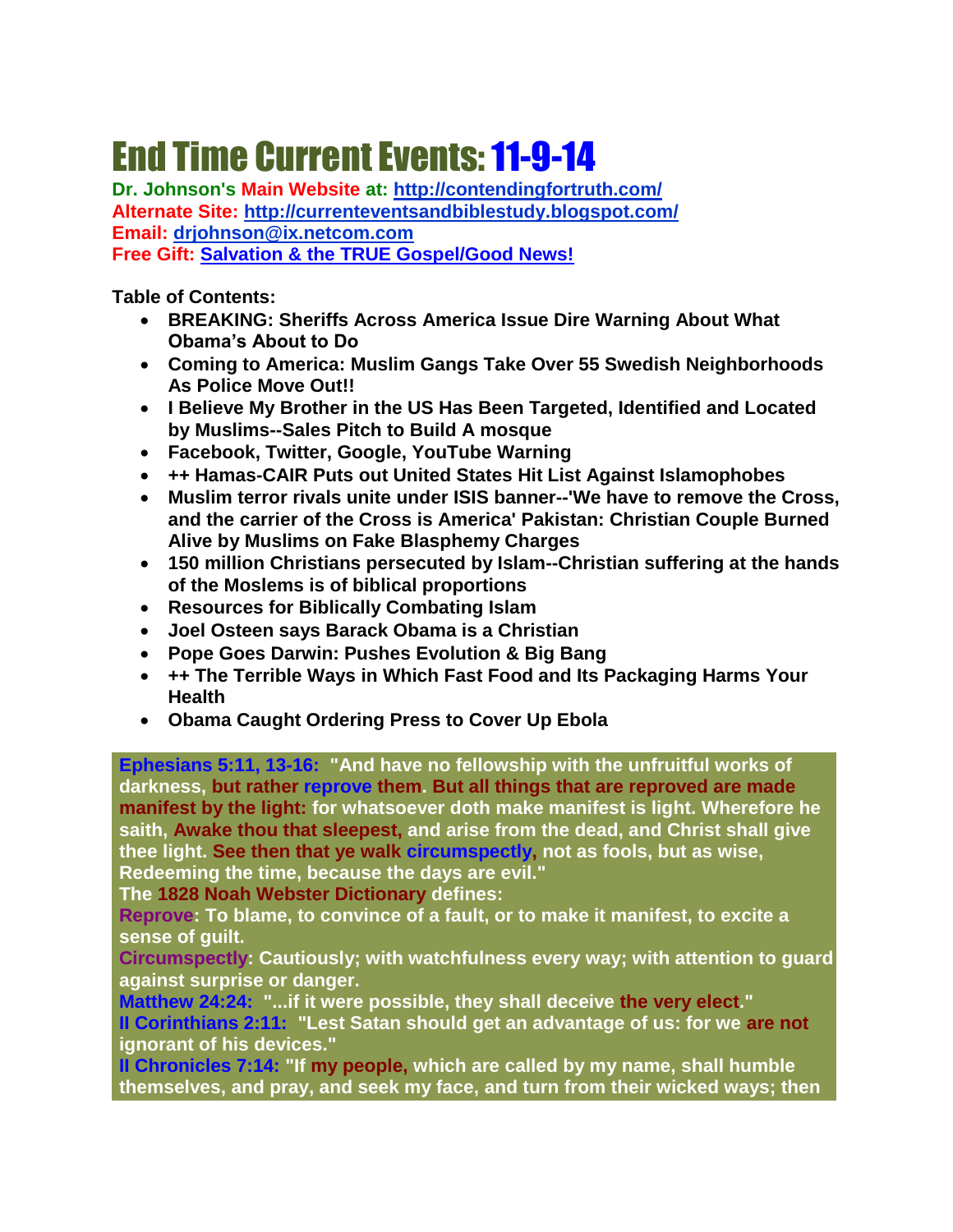# End Time Current Events:11-9-14

**Dr. Johnson's Main Website at:<http://contendingfortruth.com/> Alternate Site: <http://currenteventsandbiblestudy.blogspot.com/> Email: [drjohnson@ix.netcom.com](mailto:drjohnson@ix.netcom.com) Free Gift: [Salvation & the TRUE Gospel/Good News!](http://www.contendingfortruth.com/?cat=98)**

**Table of Contents:** 

- **BREAKING: Sheriffs Across America Issue Dire Warning About What Obama's About to Do**
- **Coming to America: [Muslim Gangs Take Over 55 Swedish Neighborhoods](http://cb.conservativebyte.com/ga/click/2-17451312-185-24958-54653-624798-222bfd225e-f561907ee3)  [As Police Move Out!](http://cb.conservativebyte.com/ga/click/2-17451312-185-24958-54653-624798-222bfd225e-f561907ee3)!**
- **I Believe My Brother in the US Has Been Targeted, Identified and Located by Muslims--Sales Pitch to Build A mosque**
- **Facebook, Twitter, Google, YouTube Warning**
- **++ Hamas-CAIR Puts out United States Hit List Against Islamophobes**
- **Muslim terror rivals unite under ISIS banner--'We have to remove the Cross, and the carrier of the Cross is America' Pakistan: Christian Couple Burned Alive by Muslims on Fake Blasphemy Charges**
- **150 million Christians persecuted by Islam--Christian suffering at the hands of the Moslems is of biblical proportions**
- **Resources for Biblically Combating Islam**
- **Joel Osteen says Barack Obama is a Christian**
- **Pope Goes Darwin: Pushes Evolution & Big Bang**
- **++ The Terrible Ways in Which Fast Food and Its Packaging Harms Your Health**
- **Obama Caught Ordering Press to Cover Up Ebola**

**Ephesians 5:11, 13-16: "And have no fellowship with the unfruitful works of darkness, but rather reprove them. But all things that are reproved are made manifest by the light: for whatsoever doth make manifest is light. Wherefore he saith, Awake thou that sleepest, and arise from the dead, and Christ shall give thee light. See then that ye walk circumspectly, not as fools, but as wise, Redeeming the time, because the days are evil."** 

**The 1828 Noah Webster Dictionary defines:**

**Reprove: To blame, to convince of a fault, or to make it manifest, to excite a sense of guilt.**

**Circumspectly: Cautiously; with watchfulness every way; with attention to guard against surprise or danger.**

**Matthew 24:24: "...if it were possible, they shall deceive the very elect." II Corinthians 2:11: "Lest Satan should get an advantage of us: for we are not ignorant of his devices."** 

**II Chronicles 7:14: "If my people, which are called by my name, shall humble themselves, and pray, and seek my face, and turn from their wicked ways; then**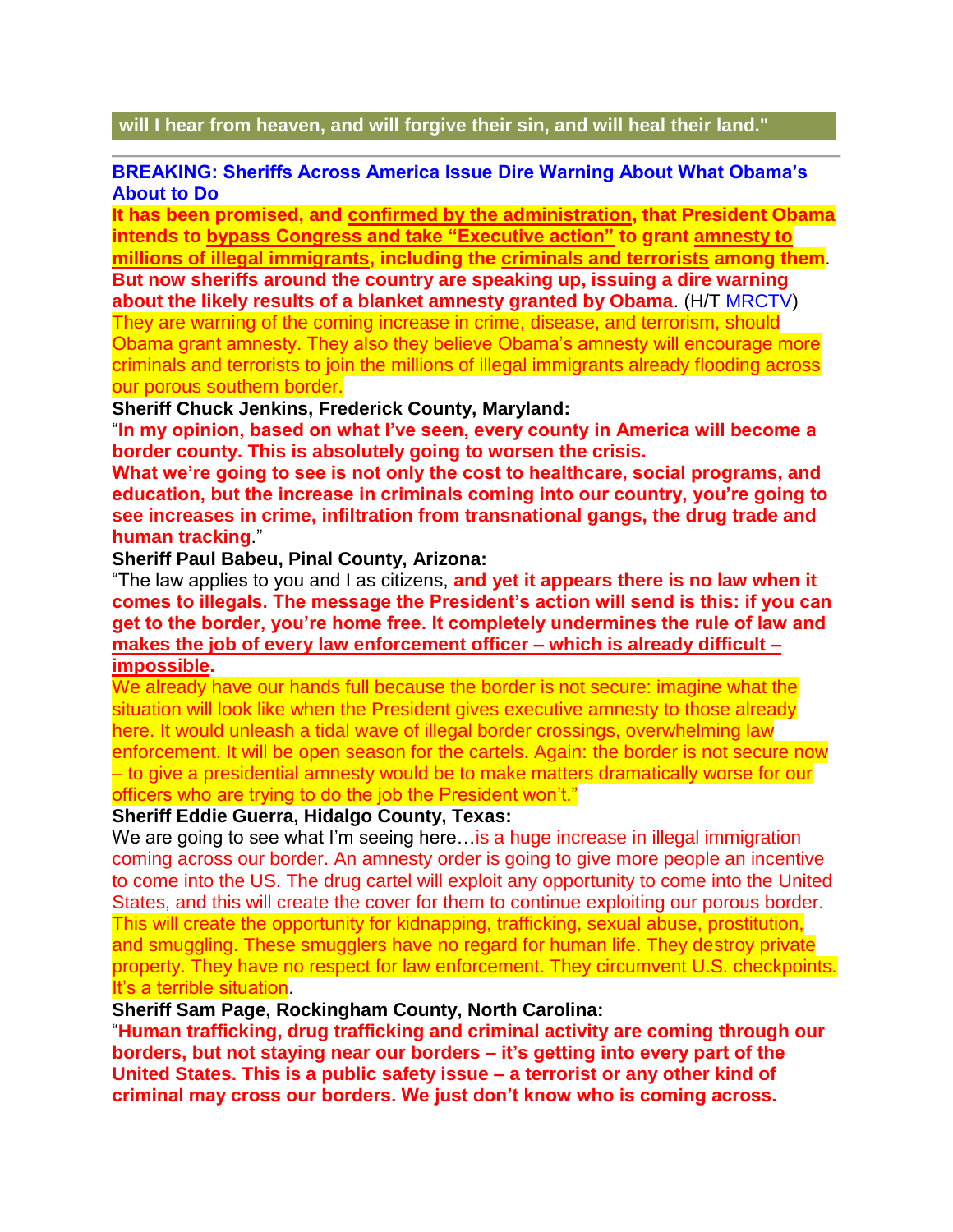#### **will I hear from heaven, and will forgive their sin, and will heal their land."**

#### **BREAKING: Sheriffs Across America Issue Dire Warning About What Obama's About to Do**

**It has been promised, and [confirmed by the administration,](http://conservativetribune.com/amnesty-could-destroy-america/) that President Obama intends to [bypass Congress and take "Executive action"](http://conservativetribune.com/pelosi-urges-obama-executive-amnesty/) to grant [amnesty to](http://conservativetribune.com/senator-warns-obamas-amnesty-plot/)  [millions of illegal immigrants,](http://conservativetribune.com/senator-warns-obamas-amnesty-plot/) including the [criminals and terrorists](http://conservativetribune.com/bachmann-obama-amnesty-terrorists/) among them**. **But now sheriffs around the country are speaking up, issuing a dire warning about the likely results of a blanket amnesty granted by Obama**. (H/T [MRCTV\)](http://www.mrctv.org/blog/sheriffs-obama-amnesty-destruction-our-democracy-gaping-hole-terrorists)

They are warning of the coming increase in crime, disease, and terrorism, should Obama grant amnesty. They also they believe Obama's amnesty will encourage more criminals and terrorists to join the millions of illegal immigrants already flooding across our porous southern border.

#### **Sheriff Chuck Jenkins, Frederick County, Maryland:**

"**In my opinion, based on what I've seen, every county in America will become a border county. This is absolutely going to worsen the crisis.**

**What we're going to see is not only the cost to healthcare, social programs, and education, but the increase in criminals coming into our country, you're going to see increases in crime, infiltration from transnational gangs, the drug trade and human tracking**."

#### **Sheriff Paul Babeu, Pinal County, Arizona:**

"The law applies to you and I as citizens, **and yet it appears there is no law when it comes to illegals. The message the President's action will send is this: if you can get to the border, you're home free. It completely undermines the rule of law and [makes the job of every law enforcement officer –](http://conservativetribune.com/border-sheriff-reveals-obama-is-intentionally-keeping-sheriffs-from-protecting-citizens-watch/) which is already difficult – [impossible.](http://conservativetribune.com/border-sheriff-reveals-obama-is-intentionally-keeping-sheriffs-from-protecting-citizens-watch/)**

We already have our hands full because the border is not secure: imagine what the situation will look like when the President gives executive amnesty to those already here. It would unleash a tidal wave of illegal border crossings, overwhelming law enforcement. It will be open season for the cartels. Again: [the border is not secure now](http://conservativetribune.com/az-sheriff-simple-border-security-plan/) – to give a presidential amnesty would be to make matters dramatically worse for our officers who are trying to do the job the President won't."

#### **Sheriff Eddie Guerra, Hidalgo County, Texas:**

We are going to see what I'm seeing here... is a huge increase in illegal immigration coming across our border. An amnesty order is going to give more people an incentive to come into the US. The drug cartel will exploit any opportunity to come into the United States, and this will create the cover for them to continue exploiting our porous border. This will create the opportunity for kidnapping, trafficking, sexual abuse, prostitution, and smuggling. These smugglers have no regard for human life. They destroy private property. They have no respect for law enforcement. They circumvent U.S. checkpoints. It's a terrible situation.

#### **Sheriff Sam Page, Rockingham County, North Carolina:**

"**Human trafficking, drug trafficking and criminal activity are coming through our borders, but not staying near our borders – it's getting into every part of the United States. This is a public safety issue – a terrorist or any other kind of criminal may cross our borders. We just don't know who is coming across.**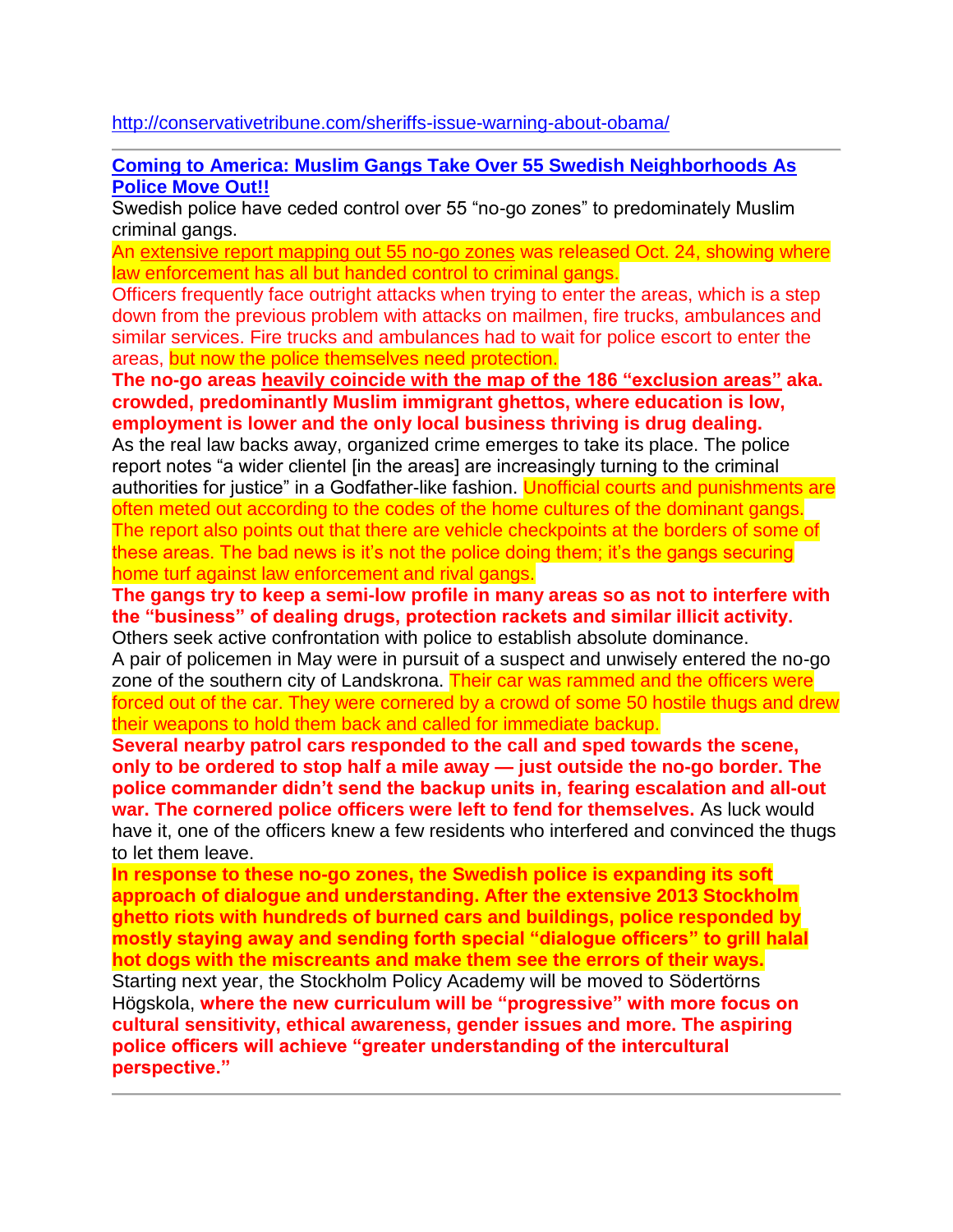<http://conservativetribune.com/sheriffs-issue-warning-about-obama/>

**Coming to America: [Muslim Gangs Take Over 55 Swedish Neighborhoods As](http://cb.conservativebyte.com/ga/click/2-17451312-185-24958-54653-624798-222bfd225e-f561907ee3)  [Police Move Out!](http://cb.conservativebyte.com/ga/click/2-17451312-185-24958-54653-624798-222bfd225e-f561907ee3)!**

Swedish police have ceded control over 55 "no-go zones" to predominately Muslim criminal gangs.

An [extensive report mapping out 55 no-go zones](http://polisen.se/Aktuellt/Rapporter-och-publikationer/Rapporter/Publicerat---Nationellt/Ovriga-rapporterutredningar/Kriminella-natverk-med-stor-paverkan-i-lokalsamhallet/) was released Oct. 24, showing where law enforcement has all but handed control to criminal gangs.

Officers frequently face outright attacks when trying to enter the areas, which is a step down from the previous problem with attacks on mailmen, fire trucks, ambulances and similar services. Fire trucks and ambulances had to wait for police escort to enter the areas, but now the police themselves need protection.

**The no-go areas [heavily coincide with the map of the 186 "exclusion areas"](http://swedenreport.org/2014/10/29/swedish-police-55-official-no-go-zones/) aka. crowded, predominantly Muslim immigrant ghettos, where education is low, employment is lower and the only local business thriving is drug dealing.**

As the real law backs away, organized crime emerges to take its place. The police report notes "a wider clientel [in the areas] are increasingly turning to the criminal authorities for justice" in a Godfather-like fashion. Unofficial courts and punishments are often meted out according to the codes of the home cultures of the dominant gangs. The report also points out that there are vehicle checkpoints at the borders of some of these areas. The bad news is it's not the police doing them; it's the gangs securing home turf against law enforcement and rival gangs.

**The gangs try to keep a semi-low profile in many areas so as not to interfere with the "business" of dealing drugs, protection rackets and similar illicit activity.** Others seek active confrontation with police to establish absolute dominance.

A pair of policemen in May were in pursuit of a suspect and unwisely entered the no-go zone of the southern city of Landskrona. Their car was rammed and the officers were forced out of the car. They were cornered by a crowd of some 50 hostile thugs and drew their weapons to hold them back and called for immediate backup.

**Several nearby patrol cars responded to the call and sped towards the scene, only to be ordered to stop half a mile away — just outside the no-go border. The police commander didn't send the backup units in, fearing escalation and all-out war. The cornered police officers were left to fend for themselves.** As luck would have it, one of the officers knew a few residents who interfered and convinced the thugs to let them leave.

**In response to these no-go zones, the Swedish police is expanding its soft approach of dialogue and understanding. After the extensive 2013 Stockholm ghetto riots with hundreds of burned cars and buildings, police responded by mostly staying away and sending forth special "dialogue officers" to grill halal hot dogs with the miscreants and make them see the errors of their ways.** Starting next year, the Stockholm Policy Academy will be moved to Södertörns Högskola, **where the new curriculum will be "progressive" with more focus on cultural sensitivity, ethical awareness, gender issues and more. The aspiring police officers will achieve "greater understanding of the intercultural perspective."**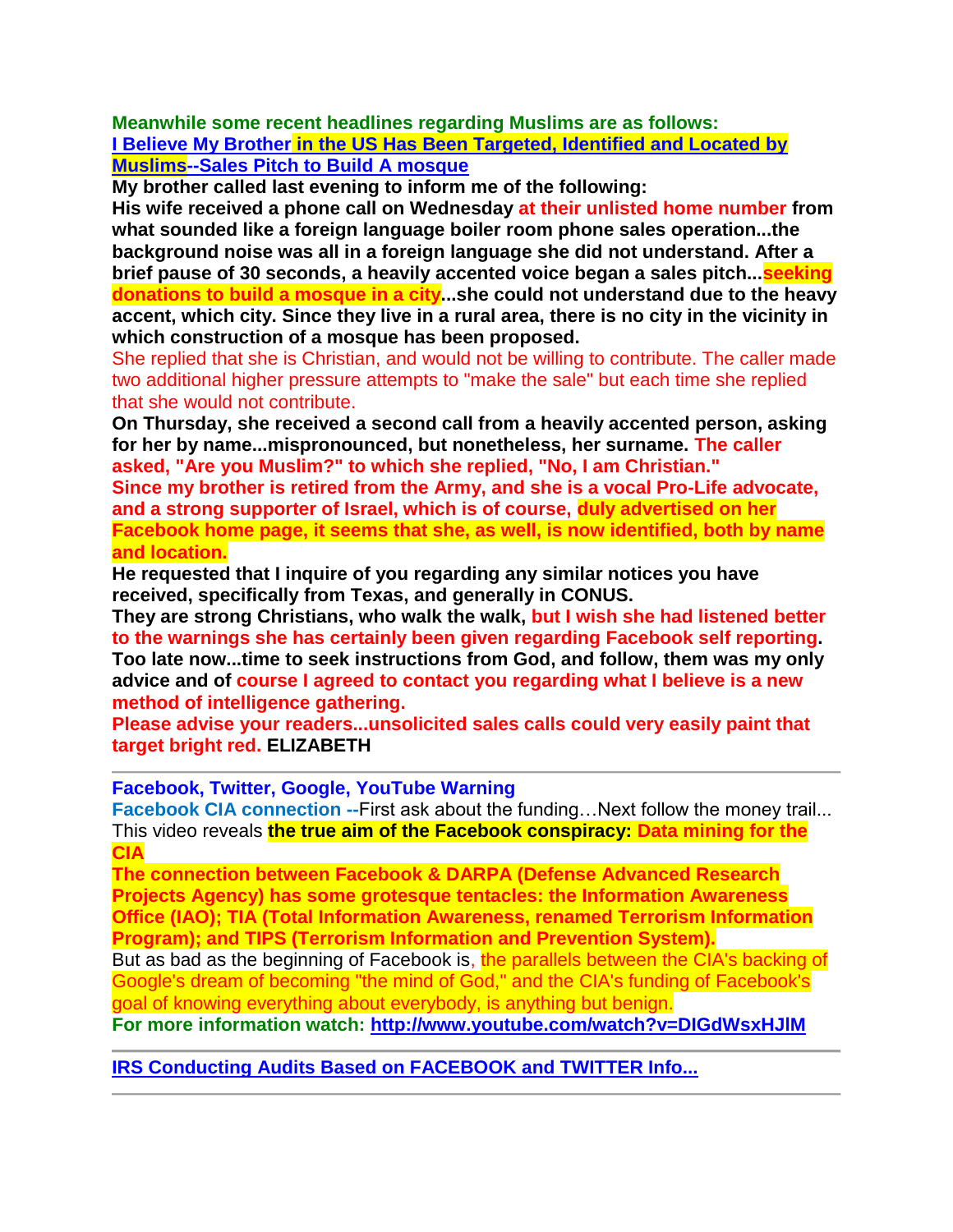**Meanwhile some recent headlines regarding Muslims are as follows: I Believe My Brother [in the US Has Been Targeted, Identified and Located by](http://www.stevequayle.com/index.php?s=33&d=1188)  [Muslims--Sales Pitch to Build A mosque](http://www.stevequayle.com/index.php?s=33&d=1188)**

**My brother called last evening to inform me of the following:**

**His wife received a phone call on Wednesday at their unlisted home number from what sounded like a foreign language boiler room phone sales operation...the background noise was all in a foreign language she did not understand. After a brief pause of 30 seconds, a heavily accented voice began a sales pitch...seeking donations to build a mosque in a city...she could not understand due to the heavy accent, which city. Since they live in a rural area, there is no city in the vicinity in which construction of a mosque has been proposed.**

She replied that she is Christian, and would not be willing to contribute. The caller made two additional higher pressure attempts to "make the sale" but each time she replied that she would not contribute.

**On Thursday, she received a second call from a heavily accented person, asking for her by name...mispronounced, but nonetheless, her surname. The caller asked, "Are you Muslim?" to which she replied, "No, I am Christian."**

**Since my brother is retired from the Army, and she is a vocal Pro-Life advocate, and a strong supporter of Israel, which is of course, duly advertised on her Facebook home page, it seems that she, as well, is now identified, both by name and location.**

**He requested that I inquire of you regarding any similar notices you have received, specifically from Texas, and generally in CONUS.**

**They are strong Christians, who walk the walk, but I wish she had listened better to the warnings she has certainly been given regarding Facebook self reporting. Too late now...time to seek instructions from God, and follow, them was my only advice and of course I agreed to contact you regarding what I believe is a new method of intelligence gathering.**

**Please advise your readers...unsolicited sales calls could very easily paint that target bright red. ELIZABETH**

**Facebook, Twitter, Google, YouTube Warning**

**Facebook CIA connection --First ask about the funding... Next follow the money trail...** This video reveals **the true aim of the Facebook conspiracy: Data mining for the CIA**

**The connection between Facebook & DARPA (Defense Advanced Research Projects Agency) has some grotesque tentacles: the Information Awareness Office (IAO); TIA (Total Information Awareness, renamed Terrorism Information Program); and TIPS (Terrorism Information and Prevention System).**

But as bad as the beginning of Facebook is, the parallels between the CIA's backing of Google's dream of becoming "the mind of God," and the CIA's funding of Facebook's goal of knowing everything about everybody, is anything but benign.

**For more information watch: <http://www.youtube.com/watch?v=DIGdWsxHJlM>**

**[IRS Conducting Audits Based on FACEBOOK and TWITTER Info...](http://www.myfoxdc.com/story/21905788/irs-collecting-tax-payer-information-from-facebook-and-twitter)**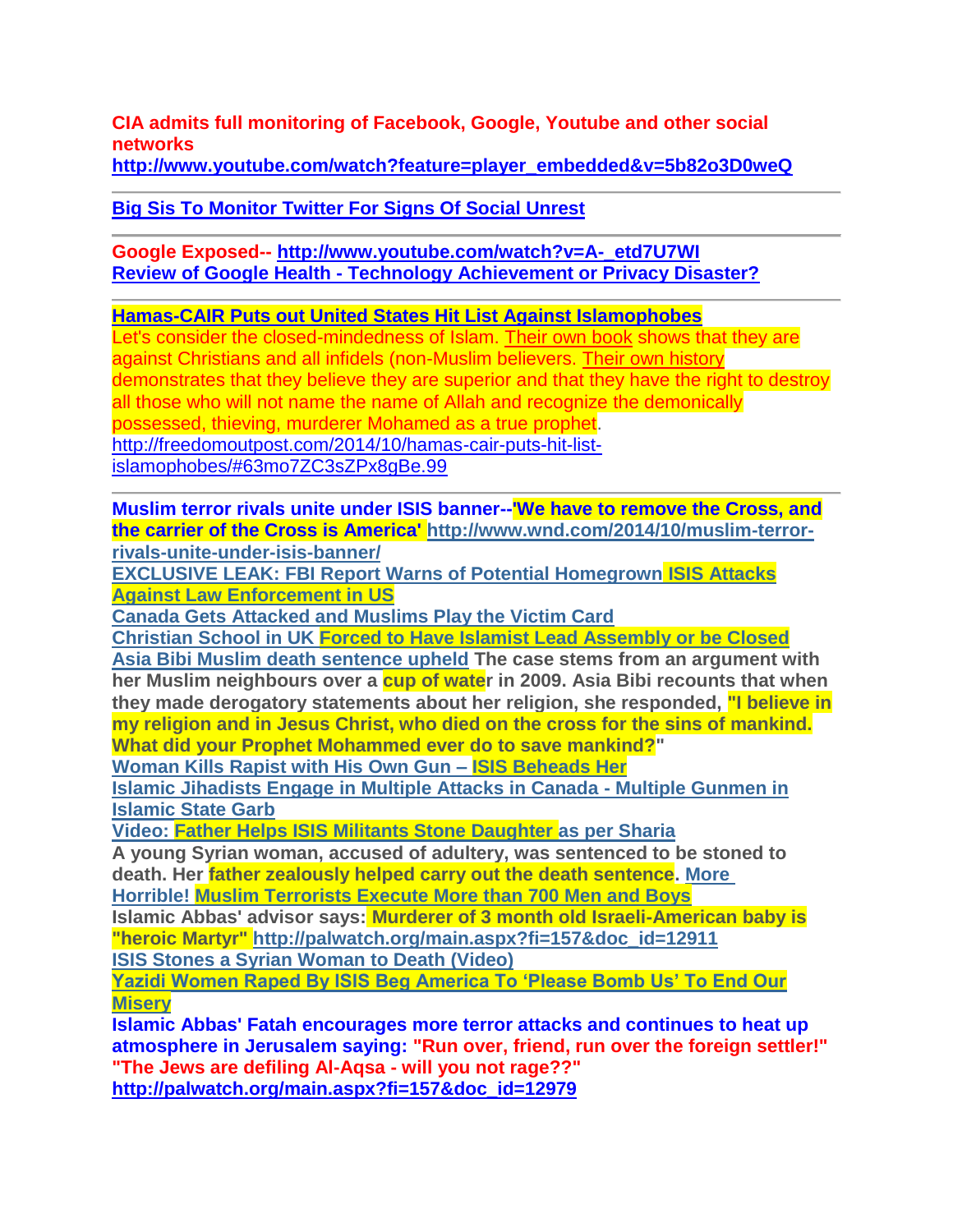**CIA admits full monitoring of Facebook, Google, Youtube and other social networks** 

**[http://www.youtube.com/watch?feature=player\\_embedded&v=5b82o3D0weQ](http://www.youtube.com/watch?feature=player_embedded&v=5b82o3D0weQ)**

**[Big Sis To Monitor Twitter For Signs Of Social Unrest](http://www.infowars.com/big-sis-to-monitor-twitter-for-signs-of-social-unrest/)**

#### **Google Exposed-- [http://www.youtube.com/watch?v=A-\\_etd7U7WI](http://www.youtube.com/watch?v=A-_etd7U7WI) Review of Google Health - [Technology Achievement or Privacy Disaster?](http://www.naturalnews.com/023275_Google_Health.html)**

#### **Hamas-CAIR Puts out United States Hit List Against Islamophobes**

Let's consider the closed-mindedness of Islam. [Their own book](http://www.amazon.com/gp/product/B00OPAFGL4/ref=as_li_tl?ie=UTF8&camp=1789&creative=390957&creativeASIN=B00OPAFGL4&linkCode=as2&tag=freedomoutpos-20&linkId=PJXTYMAOM2EVRK2J) shows that they are against Christians and all infidels (non-Muslim believers. [Their own history](http://www.amazon.com/gp/product/B000X1T7MS/ref=as_li_tl?ie=UTF8&camp=1789&creative=390957&creativeASIN=B000X1T7MS&linkCode=as2&tag=freedomoutpos-20&linkId=MTGHTFBNGQM6TNKT) demonstrates that they believe they are superior and that they have the right to destroy all those who will not name the name of Allah and recognize the demonically possessed, thieving, murderer Mohamed as a true prophet. [http://freedomoutpost.com/2014/10/hamas-cair-puts-hit-list](http://freedomoutpost.com/2014/10/hamas-cair-puts-hit-list-islamophobes/#63mo7ZC3sZPx8gBe.99)[islamophobes/#63mo7ZC3sZPx8gBe.99](http://freedomoutpost.com/2014/10/hamas-cair-puts-hit-list-islamophobes/#63mo7ZC3sZPx8gBe.99)

**Muslim terror rivals unite under ISIS banner--'We have to remove the Cross, and the carrier of the Cross is America' [http://www.wnd.com/2014/10/muslim-terror](http://www.wnd.com/2014/10/muslim-terror-rivals-unite-under-isis-banner/)[rivals-unite-under-isis-banner/](http://www.wnd.com/2014/10/muslim-terror-rivals-unite-under-isis-banner/)**

**[EXCLUSIVE LEAK: FBI Report Warns of Potential Homegrown](http://www.breitbart.com/Breitbart-Texas/2014/10/23/FBI-Report-Warns-of-Potential-Homegrown-ISIS-Attacks-Against-Law-Enforcement-in-US) ISIS Attacks [Against Law Enforcement in US](http://www.breitbart.com/Breitbart-Texas/2014/10/23/FBI-Report-Warns-of-Potential-Homegrown-ISIS-Attacks-Against-Law-Enforcement-in-US)**

**[Canada Gets Attacked and Muslims Play the Victim Card](http://if.inboxfirst.com/ga/click/2-21017773-79-24178-52903-611871-ac5bc20317-21f5972c0e)**

**[Christian School in UK Forced to Have Islamist Lead Assembly or be Closed](http://freedomoutpost.com/2014/10/christian-school-forced-islamist-lead-assembly-closed/)** 

**[Asia Bibi Muslim death sentence upheld](http://www.christianvoice.org.uk/index.php/asia-bibi-death-sentence-upheld/) The case stems from an argument with**  her Muslim neighbours over a **cup of wate**r in 2009. Asia Bibi recounts that when **they made derogatory statements about her religion, she responded, "I believe in my religion and in Jesus Christ, who died on the cross for the sins of mankind. What did your Prophet Mohammed ever do to save mankind?"**

**[Woman Kills Rapist with His Own Gun –](http://if.inboxfirst.com/ga/click/2-18805976-5-24158-52836-611385-f988d4251a-c971d15d7a) ISIS Beheads Her**

**[Islamic Jihadists Engage in Multiple Attacks in Canada -](http://freedomoutpost.com/2014/10/war-canada-multiple-attacks-multiple-gunmen-islamic-state-garb/) Multiple Gunmen in [Islamic State Garb](http://freedomoutpost.com/2014/10/war-canada-multiple-attacks-multiple-gunmen-islamic-state-garb/)** 

**[Video: Father Helps ISIS Militants Stone Daughter as per Sharia](http://clarionproject.us6.list-manage.com/track/click?u=6f33facd52316b5c258168da6&id=d9fac0eb7d&e=8d0334146f)**

**A young Syrian woman, accused of adultery, was sentenced to be stoned to death. Her father zealously helped carry out the death sentence. [More](http://clarionproject.us6.list-manage1.com/track/click?u=6f33facd52316b5c258168da6&id=315d781752&e=8d0334146f) [Horrible! Muslim Terrorists Execute More than 700 Men and Boys](http://if.inboxfirst.com/ga/click/2-21017773-79-23737-51910-604550-7b023f3eb3-930be25114)**

**Islamic Abbas' advisor says: Murderer of 3 month old Israeli-American baby is "heroic Martyr" [http://palwatch.org/main.aspx?fi=157&doc\\_id=12911](http://palwatch.org/main.aspx?fi=157&doc_id=12911) [ISIS Stones a Syrian Woman to Death](http://shariaunveiled.wordpress.com/2014/10/21/isis-stones-a-syrian-woman-to-death-video/) (Video)**

**[Yazidi Women Raped By ISIS Beg America To 'Please Bomb Us' To End Our](http://www.nowtheendbegins.com/blog/?p=27629)  [Misery](http://www.nowtheendbegins.com/blog/?p=27629)**

**Islamic Abbas' Fatah encourages more terror attacks and continues to heat up atmosphere in Jerusalem saying: "Run over, friend, run over the foreign settler!" "The Jews are defiling Al-Aqsa - will you not rage??"**

**[http://palwatch.org/main.aspx?fi=157&doc\\_id=12979](http://palwatch.org/main.aspx?fi=157&doc_id=12979)**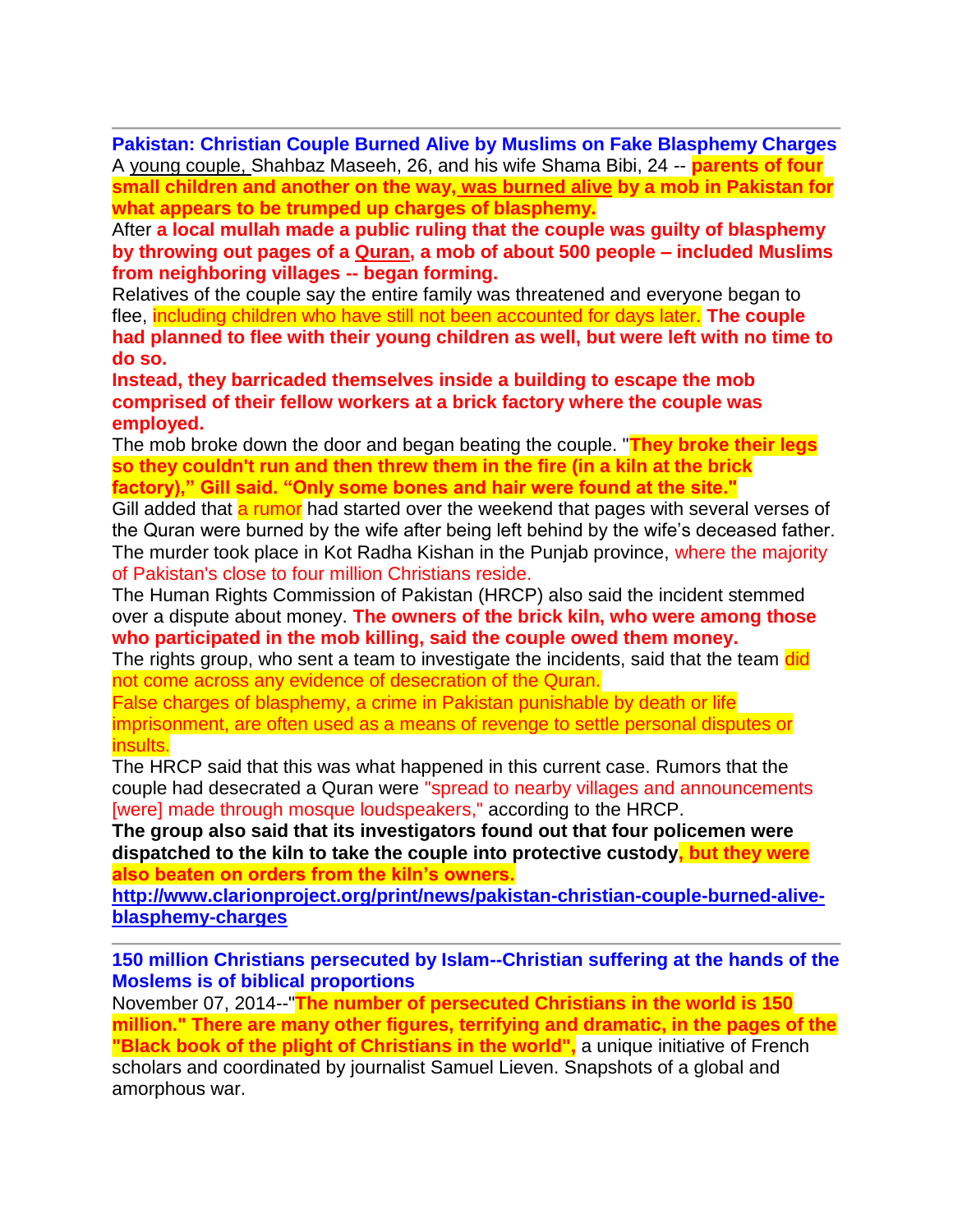**Pakistan: Christian Couple Burned Alive by Muslims on Fake Blasphemy Charges** A [young couple,](http://edition.cnn.com/2014/11/05/world/asia/pakistan-couple-slain/index.html?hpt=hp_c2) Shahbaz Maseeh, 26, and his wife Shama Bibi, 24 -- **parents of four small children and another on the way, [was burned alive](http://edition.cnn.com/2014/11/05/world/asia/pakistan-couple-slain/index.html?hpt=hp_c2) by a mob in Pakistan for what appears to be trumped up charges of blasphemy.**

After **a local mullah made a public ruling that the couple was guilty of blasphemy by throwing out pages of a [Quran,](http://www.clarionproject.org/glossary/quran/) a mob of about 500 people – included Muslims from neighboring villages -- began forming.**

Relatives of the couple say the entire family was threatened and everyone began to flee, including children who have still not been accounted for days later. **The couple had planned to flee with their young children as well, but were left with no time to do so.**

**Instead, they barricaded themselves inside a building to escape the mob comprised of their fellow workers at a brick factory where the couple was employed.**

The mob broke down the door and began beating the couple. "**They broke their legs so they couldn't run and then threw them in the fire (in a kiln at the brick factory)," Gill said. "Only some bones and hair were found at the site."**

Gill added that a rumor had started over the weekend that pages with several verses of the Quran were burned by the wife after being left behind by the wife's deceased father. The murder took place in Kot Radha Kishan in the Punjab province, where the majority of Pakistan's close to four million Christians reside.

The Human Rights Commission of Pakistan (HRCP) also said the incident stemmed over a dispute about money. **The owners of the brick kiln, who were among those who participated in the mob killing, said the couple owed them money.**

The rights group, who sent a team to investigate the incidents, said that the team did not come across any evidence of desecration of the Quran.

False charges of blasphemy, a crime in Pakistan punishable by death or life imprisonment, are often used as a means of revenge to settle personal disputes or insults.

The HRCP said that this was what happened in this current case. Rumors that the couple had desecrated a Quran were "spread to nearby villages and announcements [were] made through mosque loudspeakers," according to the HRCP.

**The group also said that its investigators found out that four policemen were dispatched to the kiln to take the couple into protective custody, but they were also beaten on orders from the kiln's owners.**

**[http://www.clarionproject.org/print/news/pakistan-christian-couple-burned-alive](http://www.clarionproject.org/print/news/pakistan-christian-couple-burned-alive-blasphemy-charges)[blasphemy-charges](http://www.clarionproject.org/print/news/pakistan-christian-couple-burned-alive-blasphemy-charges)**

**150 million Christians persecuted by Islam--Christian suffering at the hands of the Moslems is of biblical proportions**

November 07, 2014--"**The number of persecuted Christians in the world is 150 million." There are many other figures, terrifying and dramatic, in the pages of the "Black book of the plight of Christians in the world"**, a unique initiative of French scholars and coordinated by journalist Samuel Lieven. Snapshots of a global and amorphous war.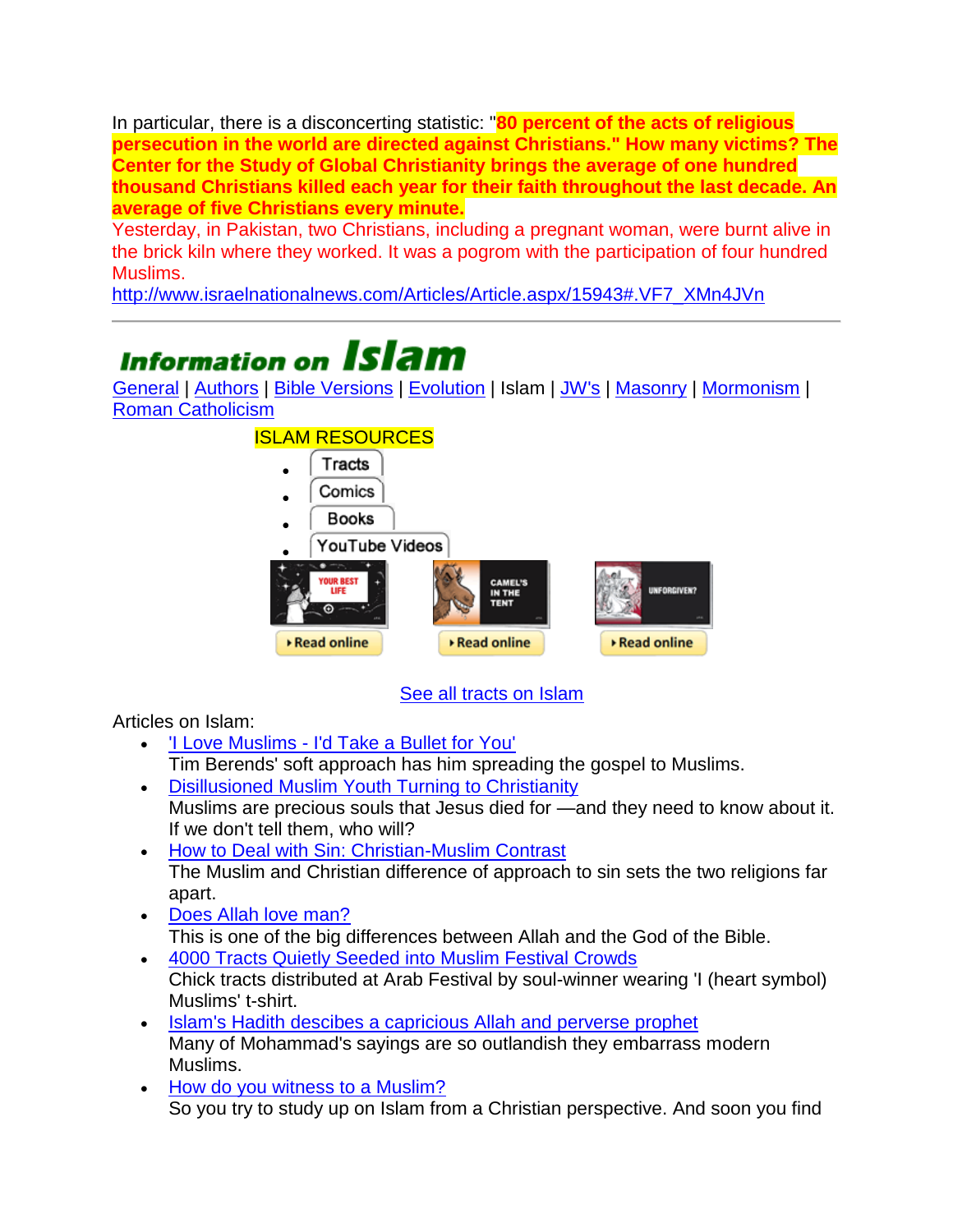In particular, there is a disconcerting statistic: "**80 percent of the acts of religious persecution in the world are directed against Christians." How many victims? The Center for the Study of Global Christianity brings the average of one hundred thousand Christians killed each year for their faith throughout the last decade. An average of five Christians every minute.**

Yesterday, in Pakistan, two Christians, including a pregnant woman, were burnt alive in the brick kiln where they worked. It was a pogrom with the participation of four hundred Muslims.

[http://www.israelnationalnews.com/Articles/Article.aspx/15943#.VF7\\_XMn4JVn](http://www.israelnationalnews.com/Articles/Article.aspx/15943#.VF7_XMn4JVn)

## **Information on Islam**

[General](http://www.chick.com/information/general/chickinfo.asp) | [Authors](http://www.chick.com/information/authors/) | [Bible Versions](http://www.chick.com/information/bibleversions/) | [Evolution](http://www.chick.com/information/evolution/) | Islam | [JW's](http://www.chick.com/information/religions/jw) | [Masonry](http://www.chick.com/information/religions/masonry) | [Mormonism](http://www.chick.com/information/religions/mormonism/) | [Roman Catholicism](http://www.chick.com/information/religions/catholicism/)



[See all tracts on Islam](http://www.chick.com/catalog/tractByKeyword.asp?Subject=Islam)

Articles on Islam:

- 'I Love Muslims [I'd Take a Bullet for You'](http://www.chick.com/information/religions/islam/berends.asp)  Tim Berends' soft approach has him spreading the gospel to Muslims.
- [Disillusioned Muslim Youth Turning to Christianity](http://www.chick.com/bc/2012/disillusioned.asp) Muslims are precious souls that Jesus died for —and they need to know about it. If we don't tell them, who will?
- [How to Deal with Sin: Christian-Muslim Contrast](http://www.chick.com/bc/2011/sin.asp) The Muslim and Christian difference of approach to sin sets the two religions far apart.
- [Does Allah love man?](http://www.chick.com/bc/2003/godoflove.asp) This is one of the big differences between Allah and the God of the Bible.
- [4000 Tracts Quietly Seeded into Muslim Festival Crowds](http://www.chick.com/articles/tracts_quietly_seeded.asp) Chick tracts distributed at Arab Festival by soul-winner wearing 'I (heart symbol) Muslims' t-shirt.
- [Islam's Hadith descibes a capricious Allah and perverse prophet](http://www.chick.com/bc/1993/hadith.asp) Many of Mohammad's sayings are so outlandish they embarrass modern Muslims.
- [How do you witness to a Muslim?](http://www.chick.com/information/religions/islam/witness_quran.asp) So you try to study up on Islam from a Christian perspective. And soon you find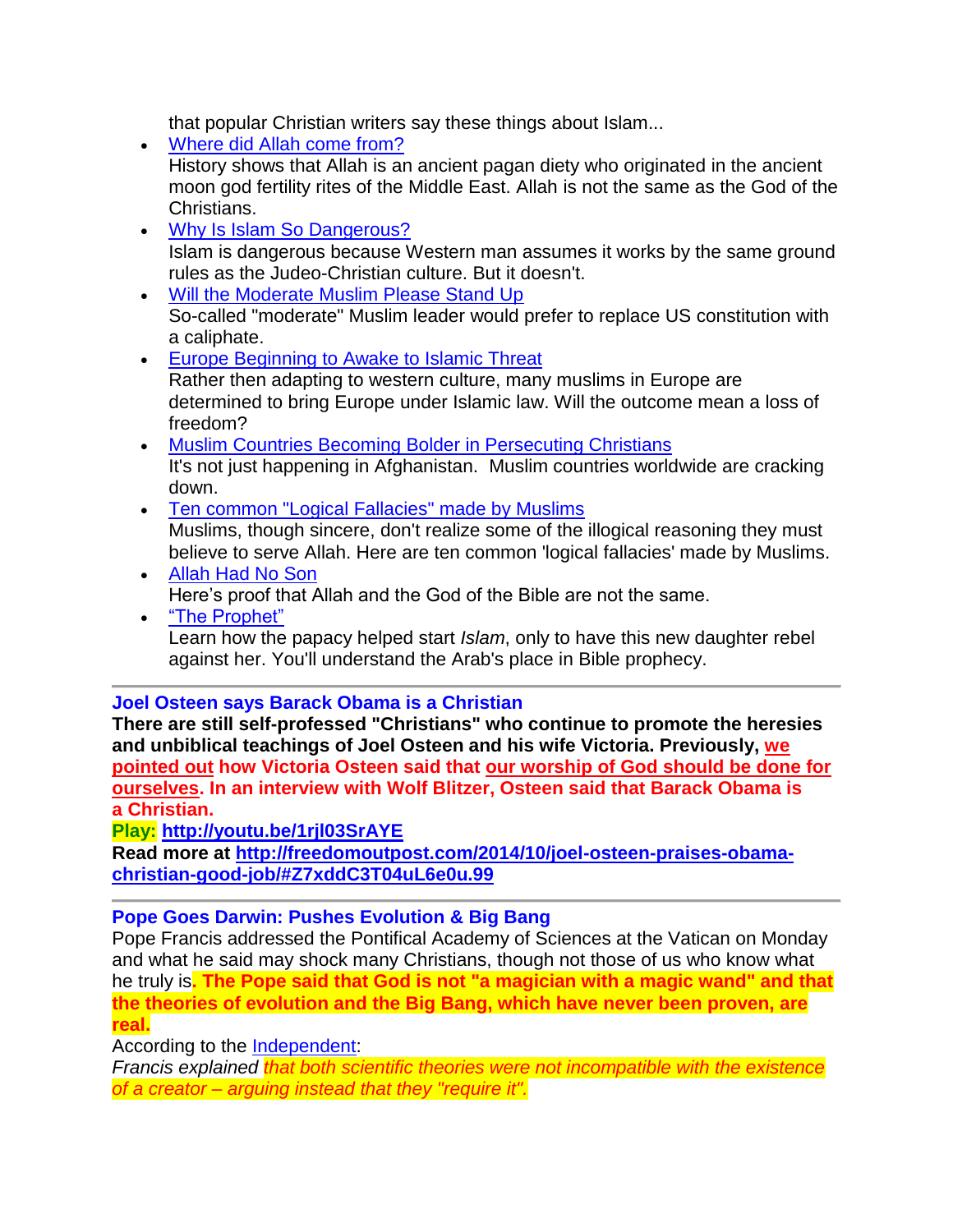that popular Christian writers say these things about Islam...

- [Where did Allah come from?](http://www.chick.com/information/religions/islam/allah2.asp) History shows that Allah is an ancient pagan diety who originated in the ancient moon god fertility rites of the Middle East. Allah is not the same as the God of the Christians.
- [Why Is Islam So Dangerous?](http://www.chick.com/bc/2012/dangerous.asp) Islam is dangerous because Western man assumes it works by the same ground rules as the Judeo-Christian culture. But it doesn't.
- [Will the Moderate Muslim Please Stand Up](http://www.chick.com/bc/2008/moderate.asp) So-called "moderate" Muslim leader would prefer to replace US constitution with a caliphate.
- **[Europe Beginning to Awake to Islamic Threat](http://www.chick.com/bc/2005/invade.asp)** Rather then adapting to western culture, many muslims in Europe are determined to bring Europe under Islamic law. Will the outcome mean a loss of freedom?
- [Muslim Countries Becoming Bolder in Persecuting Christians](http://www.chick.com/bc/2001/muslim.asp) It's not just happening in Afghanistan. Muslim countries worldwide are cracking down.
- [Ten common "Logical Fallacies" made by Muslims](http://www.chick.com/information/religions/islam/fallacies.asp) Muslims, though sincere, don't realize some of the illogical reasoning they must believe to serve Allah. Here are ten common 'logical fallacies' made by Muslims.
- [Allah Had No Son](http://www.chick.com/reading/tracts/0042/0042_01.asp) Here's proof that Allah and the God of the Bible are not the same.
- ["The Prophet"](http://www.chick.com/catalog/comics/0117.asp) Learn how the papacy helped start *Islam*, only to have this new daughter rebel against her. You'll understand the Arab's place in Bible prophecy.

#### **Joel Osteen says Barack Obama is a Christian**

**There are still self-professed "Christians" who continue to promote the heresies and unbiblical teachings of Joel Osteen and his wife Victoria. Previously, [we](http://sonsoflibertymedia.com/2014/09/bill-cosby-responds-victoria-osteens-claim-worship-god/)  [pointed out](http://sonsoflibertymedia.com/2014/09/bill-cosby-responds-victoria-osteens-claim-worship-god/) how Victoria Osteen said that [our worship of God should be done for](http://freedomoutpost.com/2014/09/bill-cosby-responds-victoria-osteens-claim-worship-god/)  [ourselves.](http://freedomoutpost.com/2014/09/bill-cosby-responds-victoria-osteens-claim-worship-god/) In an interview with Wolf Blitzer, Osteen said that Barack Obama is a Christian.**

**Play: <http://youtu.be/1rjl03SrAYE>**

**Read more at [http://freedomoutpost.com/2014/10/joel-osteen-praises-obama](http://freedomoutpost.com/2014/10/joel-osteen-praises-obama-christian-good-job/#Z7xddC3T04uL6e0u.99)[christian-good-job/#Z7xddC3T04uL6e0u.99](http://freedomoutpost.com/2014/10/joel-osteen-praises-obama-christian-good-job/#Z7xddC3T04uL6e0u.99)**

#### **Pope Goes Darwin: Pushes Evolution & Big Bang**

Pope Francis addressed the Pontifical Academy of Sciences at the Vatican on Monday and what he said may shock many Christians, though not those of us who know what he truly is**. The Pope said that God is not "a magician with a magic wand" and that the theories of evolution and the Big Bang, which have never been proven, are real.**

According to the [Independent:](http://www.independent.co.uk/news/world/europe/pope-francis-declares-evolution-and-big-bang-theory-are-right-and-god-isnt-a-magician-with-a-magic-wand-9822514.html)

*Francis explained that both scientific theories were not incompatible with the existence of a creator – arguing instead that they "require it".*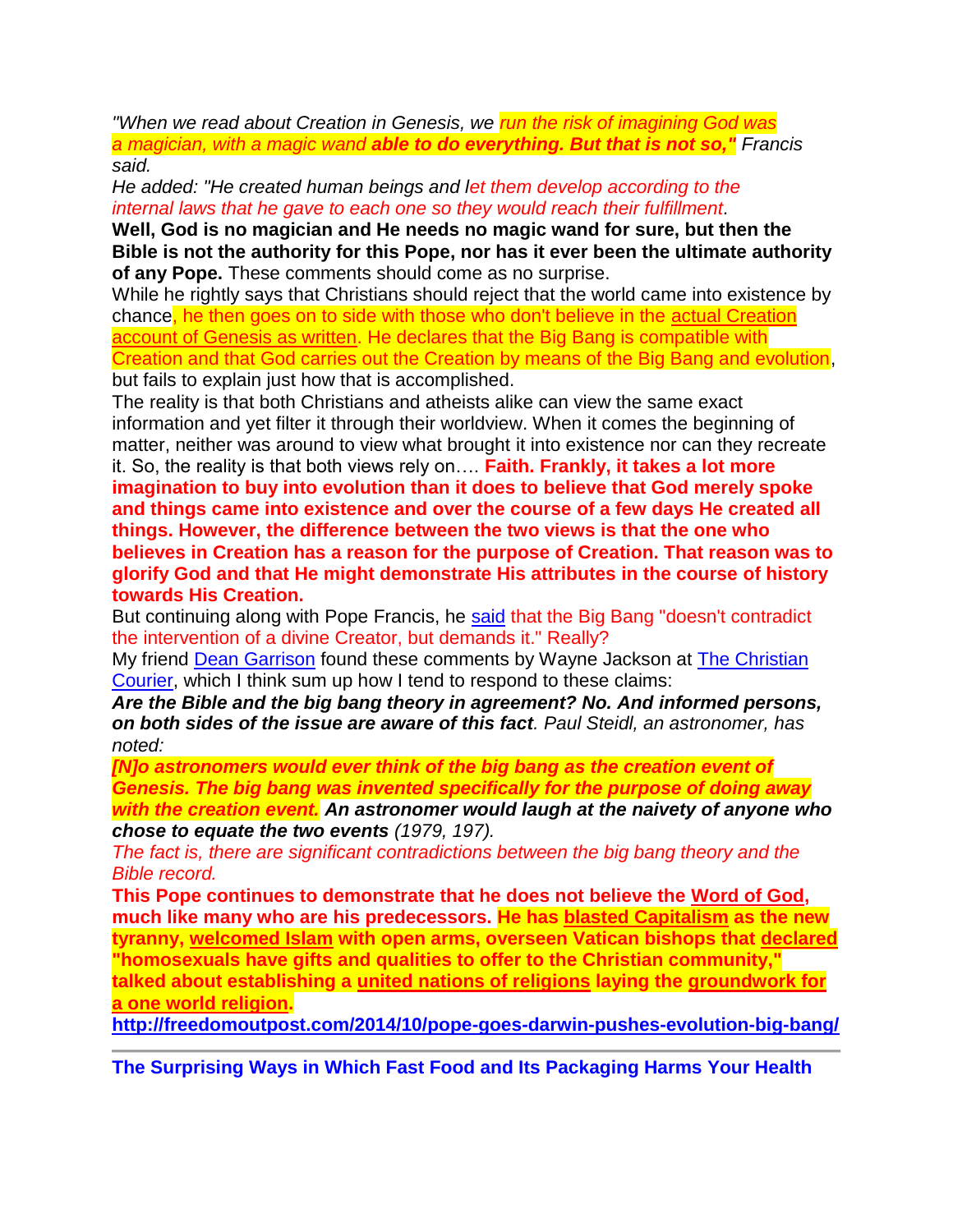*"When we read about Creation in Genesis, we run the risk of imagining God was a magician, with a magic wand able to do everything. But that is not so," Francis said.*

*He added: "He created human beings and let them develop according to the internal laws that he gave to each one so they would reach their fulfillment.*

**Well, God is no magician and He needs no magic wand for sure, but then the Bible is not the authority for this Pope, nor has it ever been the ultimate authority of any Pope.** These comments should come as no surprise.

While he rightly says that Christians should reject that the world came into existence by chance, he then goes on to side with those who don't believe in the [actual Creation](http://www.amazon.com/gp/product/0785271597/ref=as_li_tl?ie=UTF8&camp=1789&creative=390957&creativeASIN=0785271597&linkCode=as2&tag=freedomoutpos-20&linkId=TFL5YHIXEWXLXM5E)  [account of Genesis as written.](http://www.amazon.com/gp/product/0785271597/ref=as_li_tl?ie=UTF8&camp=1789&creative=390957&creativeASIN=0785271597&linkCode=as2&tag=freedomoutpos-20&linkId=TFL5YHIXEWXLXM5E) He declares that the Big Bang is compatible with Creation and that God carries out the Creation by means of the Big Bang and evolution,

but fails to explain just how that is accomplished.

The reality is that both Christians and atheists alike can view the same exact information and yet filter it through their worldview. When it comes the beginning of matter, neither was around to view what brought it into existence nor can they recreate it. So, the reality is that both views rely on…. **Faith. Frankly, it takes a lot more imagination to buy into evolution than it does to believe that God merely spoke and things came into existence and over the course of a few days He created all things. However, the difference between the two views is that the one who believes in Creation has a reason for the purpose of Creation. That reason was to glorify God and that He might demonstrate His attributes in the course of history towards His Creation.** 

But continuing along with Pope Francis, he [said](http://www.news.va/it/news/francesco-ad-accademia-scienze-benedetto-xvi-grand) that the Big Bang "doesn't contradict the intervention of a divine Creator, but demands it." Really?

My friend [Dean Garrison](http://www.dcclothesline.com/2014/10/28/pope-embraces-evolution-big-bang/) found these comments by Wayne Jackson at [The Christian](https://www.christiancourier.com/articles/133-the-big-bang-theory-vs-gods-word)  [Courier,](https://www.christiancourier.com/articles/133-the-big-bang-theory-vs-gods-word) which I think sum up how I tend to respond to these claims:

*Are the Bible and the big bang theory in agreement? No. And informed persons, on both sides of the issue are aware of this fact. Paul Steidl, an astronomer, has noted:*

*[N]o astronomers would ever think of the big bang as the creation event of Genesis. The big bang was invented specifically for the purpose of doing away with the creation event. An astronomer would laugh at the naivety of anyone who* 

*chose to equate the two events (1979, 197).*

*The fact is, there are significant contradictions between the big bang theory and the Bible record.*

**This Pope continues to demonstrate that he does not believe the [Word of God,](http://www.amazon.com/s/?_encoding=UTF8&camp=1789&creative=390957&field-keywords=bible&linkCode=ur2&sprefix=bible%2Caps&tag=freedomoutpos-20&url=search-alias%3Daps&linkId=A2TPAKTHQMR7SYTY) much like many who are his predecessors. He has [blasted Capitalism](http://freedomoutpost.com/2013/11/pope-francis-views-capitalism-new-tyranny/) as the new tyranny, [welcomed Islam](http://freedomoutpost.com/2014/01/catholic-asia-bibi-writes-islam-peace-pope-francis-awaits-execution-blasphemy-sharia/) with open arms, overseen Vatican bishops that [declared](http://sonsoflibertymedia.com/2014/10/vatican-homosexuals-gifts-qualities-offer-christian-community/) "homosexuals have gifts and qualities to offer to the Christian community," talked about establishing a [united nations of religions](http://freedomoutpost.com/2014/09/pope-francis-shimon-peres-discuss-establishment-united-nations-religions/) laying the [groundwork for](http://freedomoutpost.com/2014/02/pope-francis-laying-groundwork-one-world-religion/)  [a one world religion.](http://freedomoutpost.com/2014/02/pope-francis-laying-groundwork-one-world-religion/)**

**<http://freedomoutpost.com/2014/10/pope-goes-darwin-pushes-evolution-big-bang/>**

**The Surprising Ways in Which Fast Food and Its Packaging Harms Your Health**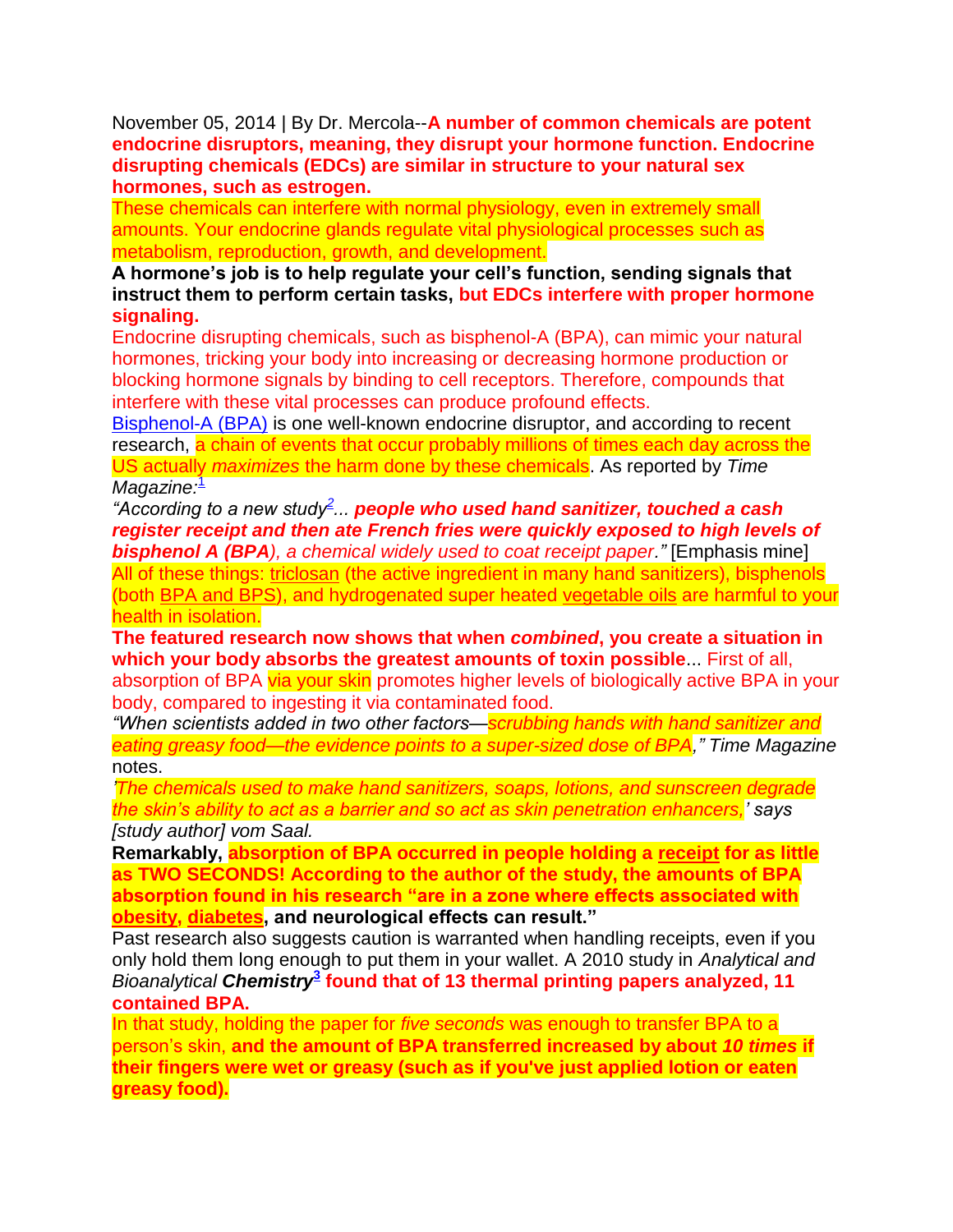November 05, 2014 | By Dr. Mercola--**A number of common chemicals are potent endocrine disruptors, meaning, they disrupt your hormone function. Endocrine disrupting chemicals (EDCs) are similar in structure to your natural sex hormones, such as estrogen.**

These chemicals can interfere with normal physiology, even in extremely small amounts. Your endocrine glands regulate vital physiological processes such as metabolism, reproduction, growth, and development.

**A hormone's job is to help regulate your cell's function, sending signals that instruct them to perform certain tasks, but EDCs interfere with proper hormone signaling.**

Endocrine disrupting chemicals, such as bisphenol-A (BPA), can mimic your natural hormones, tricking your body into increasing or decreasing hormone production or blocking hormone signals by binding to cell receptors. Therefore, compounds that interfere with these vital processes can produce profound effects.

[Bisphenol-A \(BPA\)](http://articles.mercola.com/sites/articles/archive/2012/06/20/bpa-free-plastic-still-toxic.aspx) is one well-known endocrine disruptor, and according to recent research, a chain of events that occur probably millions of times each day across the US actually *maximizes* the harm done by these chemicals. As reported by *Time*  Magazine<sup>[1](http://articles.mercola.com/sites/articles/archive/2014/11/05/fast-food-packaging-chemicals.aspx?e_cid=20141105Z1_DNL_art_1&utm_source=dnl&utm_medium=email&utm_content=art1&utm_campaign=20141105Z1&et_cid=DM59355&et_rid=717991417#_edn1)</sup>

*"According to a new study[2](http://articles.mercola.com/sites/articles/archive/2014/11/05/fast-food-packaging-chemicals.aspx?e_cid=20141105Z1_DNL_art_1&utm_source=dnl&utm_medium=email&utm_content=art1&utm_campaign=20141105Z1&et_cid=DM59355&et_rid=717991417#_edn2) ... people who used hand sanitizer, touched a cash register receipt and then ate French fries were quickly exposed to high levels of bisphenol A (BPA), a chemical widely used to coat receipt paper."* [Emphasis mine] All of these things: [triclosan](http://articles.mercola.com/sites/articles/archive/2012/08/29/triclosan-in-personal-care-products.aspx) (the active ingredient in many hand sanitizers), bisphenols (both [BPA and BPS\)](http://articles.mercola.com/sites/articles/archive/2012/06/20/bpa-free-plastic-still-toxic.aspx), and hydrogenated super heated [vegetable oils](http://articles.mercola.com/sites/articles/archive/2014/08/31/trans-fat-saturated-fat.aspx) are harmful to your health in isolation.

**The featured research now shows that when** *combined***, you create a situation in which your body absorbs the greatest amounts of toxin possible**... First of all, absorption of BPA via your skin promotes higher levels of biologically active BPA in your body, compared to ingesting it via contaminated food.

*"When scientists added in two other factors—scrubbing hands with hand sanitizer and eating greasy food—the evidence points to a super-sized dose of BPA," Time Magazine* notes.

*'The chemicals used to make hand sanitizers, soaps, lotions, and sunscreen degrade the skin's ability to act as a barrier and so act as skin penetration enhancers,' says [study author] vom Saal.* 

**Remarkably, absorption of BPA occurred in people holding a [receipt](http://articles.mercola.com/sites/articles/archive/2014/03/12/receipt-endocrine-disruptor.aspx) for as little as TWO SECONDS! According to the author of the study, the amounts of BPA absorption found in his research "are in a zone where effects associated with [obesity,](http://obesity.mercola.com/) [diabetes,](http://diabetes.mercola.com/) and neurological effects can result."**

Past research also suggests caution is warranted when handling receipts, even if you only hold them long enough to put them in your wallet. A 2010 study in *Analytical and*  Bioanalytical Chemistry<sup>2</sup> found that of 1[3](http://articles.mercola.com/sites/articles/archive/2014/11/05/fast-food-packaging-chemicals.aspx?e_cid=20141105Z1_DNL_art_1&utm_source=dnl&utm_medium=email&utm_content=art1&utm_campaign=20141105Z1&et_cid=DM59355&et_rid=717991417#_edn3) thermal printing papers analyzed, 11 **contained BPA.**

In that study, holding the paper for *five seconds* was enough to transfer BPA to a person's skin, **and the amount of BPA transferred increased by about** *10 times* **if their fingers were wet or greasy (such as if you've just applied lotion or eaten greasy food).**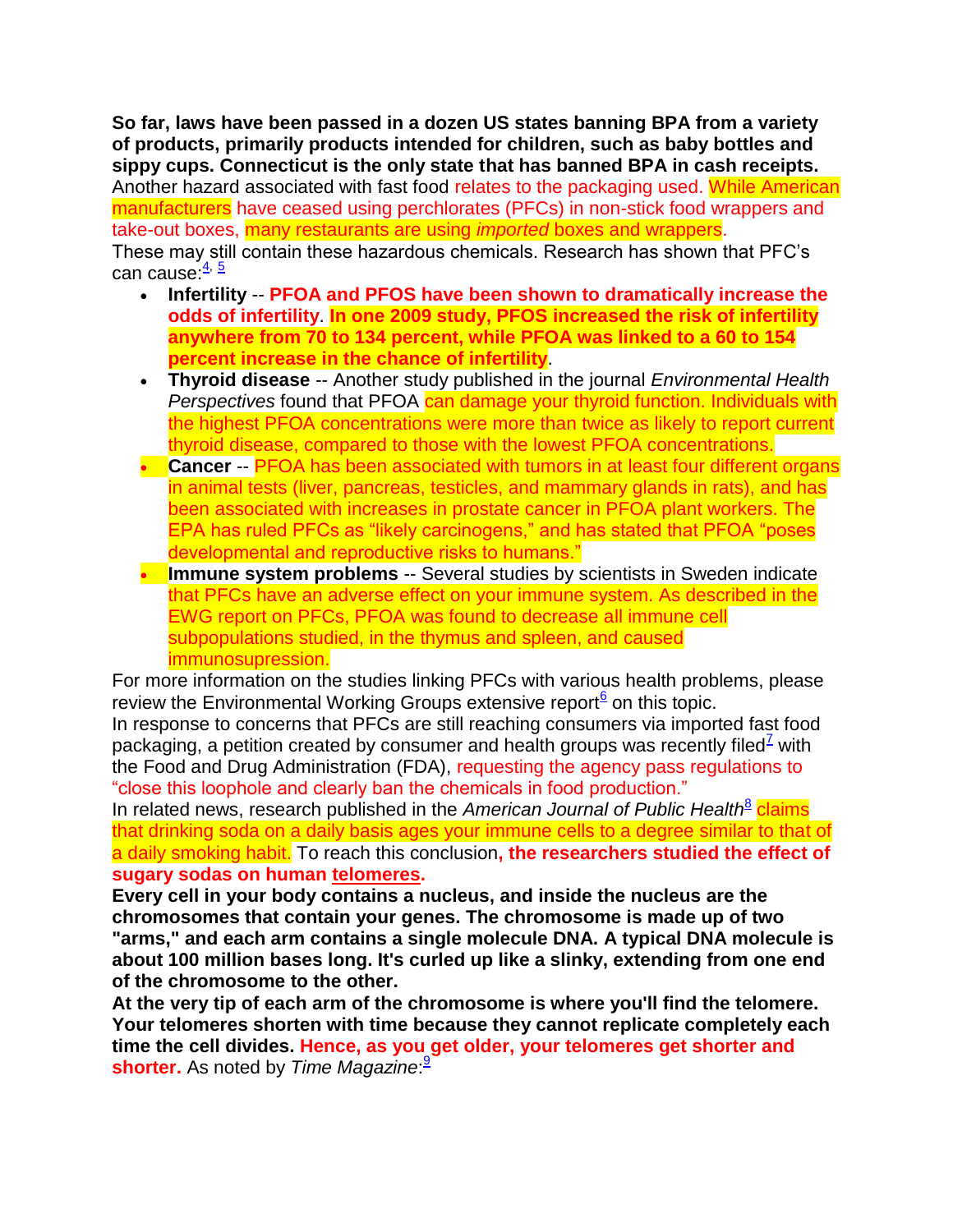**So far, laws have been passed in a dozen US states banning BPA from a variety of products, primarily products intended for children, such as baby bottles and sippy cups. Connecticut is the only state that has banned BPA in cash receipts.** Another hazard associated with fast food relates to the packaging used. While American manufacturers have ceased using perchlorates (PFCs) in non-stick food wrappers and take-out boxes, many restaurants are using *imported* boxes and wrappers. These may still contain these hazardous chemicals. Research has shown that PFC's can cause:  $\frac{4}{5}$  $\frac{4}{5}$  $\frac{4}{5}$ 

- **Infertility** -- **PFOA and PFOS have been shown to dramatically increase the odds of infertility**. **In one 2009 study, PFOS increased the risk of infertility anywhere from 70 to 134 percent, while PFOA was linked to a 60 to 154 percent increase in the chance of infertility**.
- **Thyroid disease** -- Another study published in the journal *Environmental Health*  **Perspectives found that PFOA can damage your thyroid function. Individuals with** the highest PFOA concentrations were more than twice as likely to report current thyroid disease, compared to those with the lowest PFOA concentrations.
- **Cancer** -- PFOA has been associated with tumors in at least four different organs in animal tests (liver, pancreas, testicles, and mammary glands in rats), and has been associated with increases in prostate cancer in PFOA plant workers. The EPA has ruled PFCs as "likely carcinogens," and has stated that PFOA "poses developmental and reproductive risks to humans."
- **Immune system problems** -- Several studies by scientists in Sweden indicate that PFCs have an adverse effect on your immune system. As described in the EWG report on PFCs, PFOA was found to decrease all immune cell subpopulations studied, in the thymus and spleen, and caused immunosupression.

For more information on the studies linking PFCs with various health problems, please review the Environmental Working Groups extensive report<sup>[6](http://articles.mercola.com/sites/articles/archive/2014/11/05/fast-food-packaging-chemicals.aspx?e_cid=20141105Z1_DNL_art_1&utm_source=dnl&utm_medium=email&utm_content=art1&utm_campaign=20141105Z1&et_cid=DM59355&et_rid=717991417#_edn6)</sup> on this topic.

In response to concerns that PFCs are still reaching consumers via imported fast food packaging, a petition created by consumer and health groups was recently filed<sup> $2$ </sup> with the Food and Drug Administration (FDA), requesting the agency pass regulations to "close this loophole and clearly ban the chemicals in food production."

In related news, research published in the *American Journal of Public Health*<sup>[8](http://articles.mercola.com/sites/articles/archive/2014/11/05/fast-food-packaging-chemicals.aspx?e_cid=20141105Z1_DNL_art_1&utm_source=dnl&utm_medium=email&utm_content=art1&utm_campaign=20141105Z1&et_cid=DM59355&et_rid=717991417#_edn8)</sup> claims that drinking soda on a daily basis ages your immune cells to a degree similar to that of a daily smoking habit. To reach this conclusion**, the researchers studied the effect of sugary sodas on human [telomeres.](http://articles.mercola.com/sites/articles/archive/2011/04/18/is-this-the-key-to-living-longer-than-150-years-old.aspx)**

**Every cell in your body contains a nucleus, and inside the nucleus are the chromosomes that contain your genes. The chromosome is made up of two "arms," and each arm contains a single molecule DNA. A typical DNA molecule is about 100 million bases long. It's curled up like a slinky, extending from one end of the chromosome to the other.**

**At the very tip of each arm of the chromosome is where you'll find the telomere. Your telomeres shorten with time because they cannot replicate completely each time the cell divides. Hence, as you get older, your telomeres get shorter and shorter.** As noted by *Time Magazine*: [9](http://articles.mercola.com/sites/articles/archive/2014/11/05/fast-food-packaging-chemicals.aspx?e_cid=20141105Z1_DNL_art_1&utm_source=dnl&utm_medium=email&utm_content=art1&utm_campaign=20141105Z1&et_cid=DM59355&et_rid=717991417#_edn9)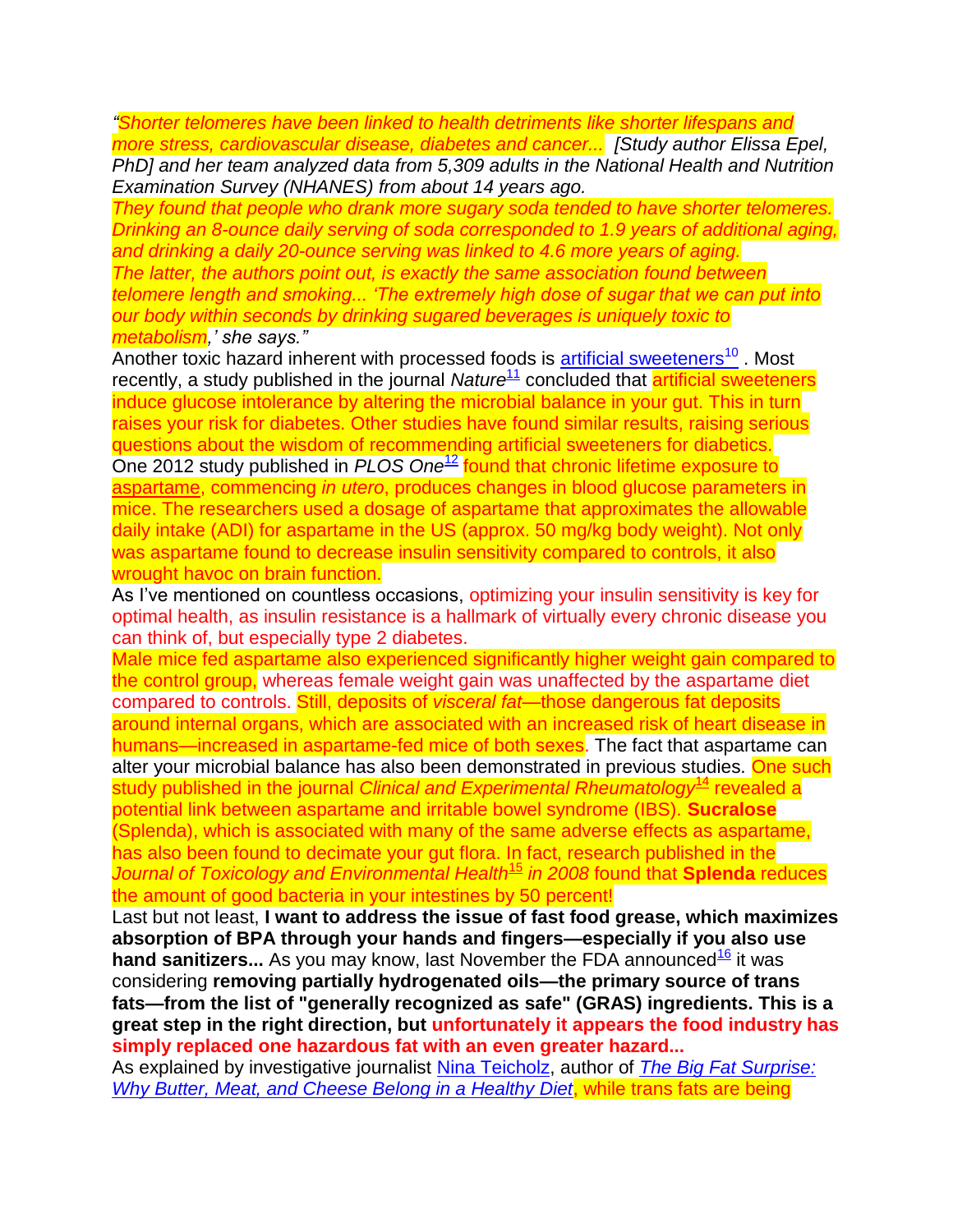*"Shorter telomeres have been linked to health detriments like shorter lifespans and more stress, cardiovascular disease, diabetes and cancer... [Study author Elissa Epel,* 

*PhD] and her team analyzed data from 5,309 adults in the National Health and Nutrition Examination Survey (NHANES) from about 14 years ago.* 

*They found that people who drank more sugary soda tended to have shorter telomeres. Drinking an 8-ounce daily serving of soda corresponded to 1.9 years of additional aging, and drinking a daily 20-ounce serving was linked to 4.6 more years of aging. The latter, the authors point out, is exactly the same association found between telomere length and smoking... 'The extremely high dose of sugar that we can put into our body within seconds by drinking sugared beverages is uniquely toxic to metabolism,' she says."*

Another toxic hazard inherent with processed foods is [artificial sweeteners](http://articles.mercola.com/sites/articles/archive/2012/04/23/aspartame-in-less-sugar-sodas.aspx)<sup>[10](http://articles.mercola.com/sites/articles/archive/2012/04/23/aspartame-in-less-sugar-sodas.aspx)</sup>. Most recently, a study published in the journal *Nature*<sup>[11](http://articles.mercola.com/sites/articles/archive/2014/11/05/fast-food-packaging-chemicals.aspx?e_cid=20141105Z1_DNL_art_1&utm_source=dnl&utm_medium=email&utm_content=art1&utm_campaign=20141105Z1&et_cid=DM59355&et_rid=717991417#_edn11)</sup> concluded that **artificial sweeteners** induce glucose intolerance by altering the microbial balance in your gut. This in turn raises your risk for diabetes. Other studies have found similar results, raising serious questions about the wisdom of recommending artificial sweeteners for diabetics. One 2012 study published in *PLOS One*[12](http://articles.mercola.com/sites/articles/archive/2014/11/05/fast-food-packaging-chemicals.aspx?e_cid=20141105Z1_DNL_art_1&utm_source=dnl&utm_medium=email&utm_content=art1&utm_campaign=20141105Z1&et_cid=DM59355&et_rid=717991417#_edn12) found that chronic lifetime exposure to [aspartame,](http://aspartame.mercola.com/) commencing *in utero*, produces changes in blood glucose parameters in mice. The researchers used a dosage of aspartame that approximates the allowable daily intake (ADI) for aspartame in the US (approx. 50 mg/kg body weight). Not only was aspartame found to decrease insulin sensitivity compared to controls, it also wrought havoc on brain function.

As I've mentioned on countless occasions, optimizing your insulin sensitivity is key for optimal health, as insulin resistance is a hallmark of virtually every chronic disease you can think of, but especially type 2 diabetes.

Male mice fed aspartame also experienced significantly higher weight gain compared to the control group, whereas female weight gain was unaffected by the aspartame diet compared to controls. Still, deposits of *visceral fat*—those dangerous fat deposits around internal organs, which are associated with an increased risk of heart disease in humans—increased in aspartame-fed mice of both sexes. The fact that aspartame can alter your microbial balance has also been demonstrated in previous studies. One such study published in the journal *Clinical and Experimental Rheumatology*<sup>[14](http://articles.mercola.com/sites/articles/archive/2014/11/05/fast-food-packaging-chemicals.aspx?e_cid=20141105Z1_DNL_art_1&utm_source=dnl&utm_medium=email&utm_content=art1&utm_campaign=20141105Z1&et_cid=DM59355&et_rid=717991417#_edn14)</sup> revealed a potential link between aspartame and irritable bowel syndrome (IBS). **Sucralose** (Splenda), which is associated with many of the same adverse effects as aspartame, has also been found to decimate your gut flora. In fact, research published in the *Journal of Toxicology and Environmental Health*[15](http://articles.mercola.com/sites/articles/archive/2014/11/05/fast-food-packaging-chemicals.aspx?e_cid=20141105Z1_DNL_art_1&utm_source=dnl&utm_medium=email&utm_content=art1&utm_campaign=20141105Z1&et_cid=DM59355&et_rid=717991417#_edn15) *in 2008* found that **Splenda** reduces the amount of good bacteria in your intestines by 50 percent!

Last but not least, **I want to address the issue of fast food grease, which maximizes absorption of BPA through your hands and fingers—especially if you also use hand sanitizers...** As you may know, last November the FDA announced<sup>[16](http://articles.mercola.com/sites/articles/archive/2014/11/05/fast-food-packaging-chemicals.aspx?e_cid=20141105Z1_DNL_art_1&utm_source=dnl&utm_medium=email&utm_content=art1&utm_campaign=20141105Z1&et_cid=DM59355&et_rid=717991417#_edn16)</sup> it was considering **removing partially hydrogenated oils—the primary source of trans fats—from the list of "generally recognized as safe" (GRAS) ingredients. This is a great step in the right direction, but unfortunately it appears the food industry has simply replaced one hazardous fat with an even greater hazard...**

As explained by investigative journalist [Nina Teicholz,](http://articles.mercola.com/sites/articles/archive/2014/08/31/trans-fat-saturated-fat.aspx) author of *[The Big Fat](http://www.amazon.com/Big-Fat-Surprise-Butter-Healthy/dp/1451624433/ref=tmm_pap_swatch_0?_encoding=UTF8&sr=8-1&qid=1408464331) Surprise: [Why Butter, Meat, and Cheese Belong in a Healthy Diet](http://www.amazon.com/Big-Fat-Surprise-Butter-Healthy/dp/1451624433/ref=tmm_pap_swatch_0?_encoding=UTF8&sr=8-1&qid=1408464331)*, while trans fats are being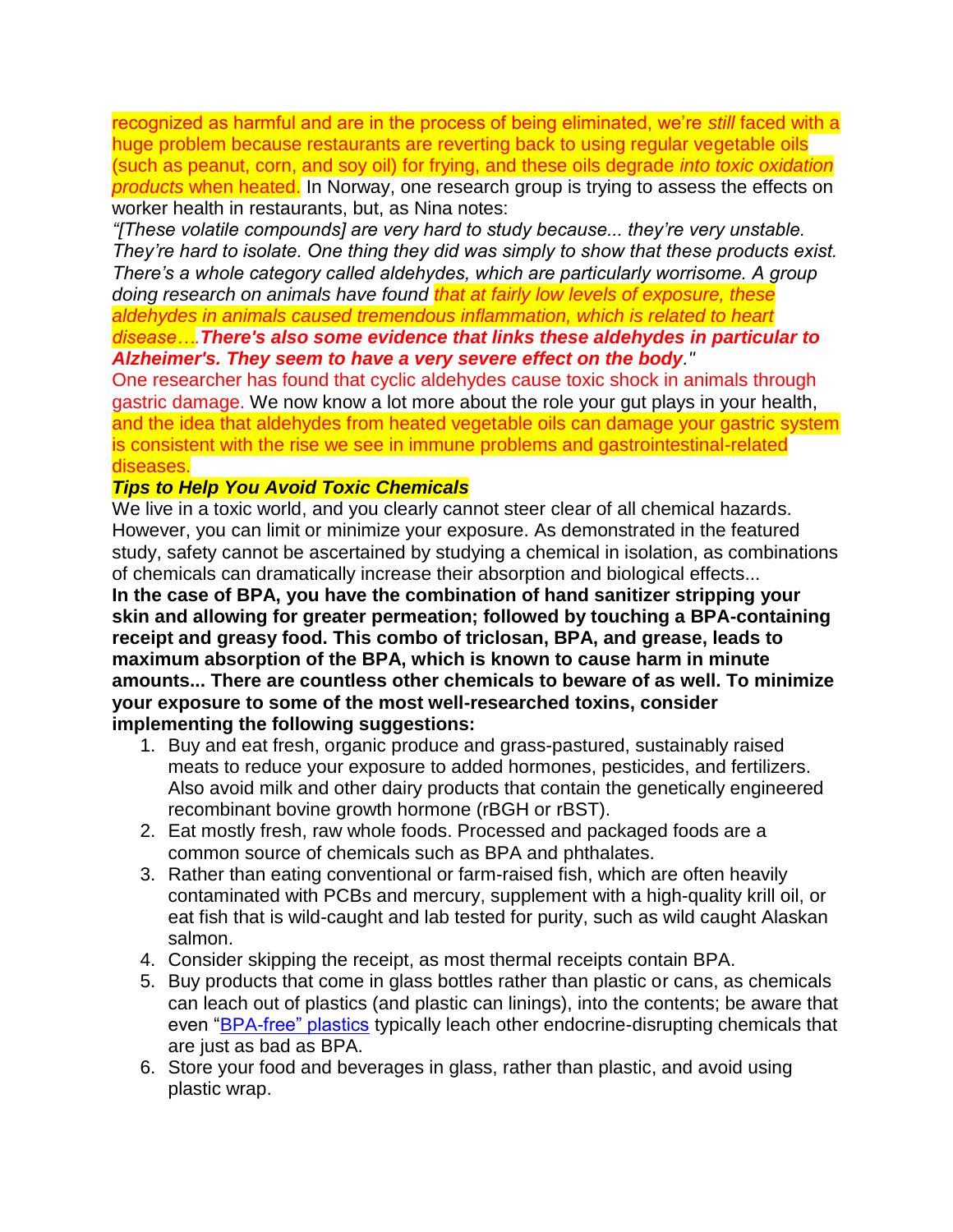recognized as harmful and are in the process of being eliminated, we're *still* faced with a huge problem because restaurants are reverting back to using regular vegetable oils (such as peanut, corn, and soy oil) for frying, and these oils degrade *into toxic oxidation products* when heated. In Norway, one research group is trying to assess the effects on worker health in restaurants, but, as Nina notes:

*"[These volatile compounds] are very hard to study because... they're very unstable. They're hard to isolate. One thing they did was simply to show that these products exist. There's a whole category called aldehydes, which are particularly worrisome. A group doing research on animals have found that at fairly low levels of exposure, these aldehydes in animals caused tremendous inflammation, which is related to heart disease….There's also some evidence that links these aldehydes in particular to* 

### *Alzheimer's. They seem to have a very severe effect on the body."*

One researcher has found that cyclic aldehydes cause toxic shock in animals through gastric damage. We now know a lot more about the role your gut plays in your health, and the idea that aldehydes from heated vegetable oils can damage your gastric system is consistent with the rise we see in immune problems and gastrointestinal-related diseases.

#### *Tips to Help You Avoid Toxic Chemicals*

We live in a toxic world, and you clearly cannot steer clear of all chemical hazards. However, you can limit or minimize your exposure. As demonstrated in the featured study, safety cannot be ascertained by studying a chemical in isolation, as combinations of chemicals can dramatically increase their absorption and biological effects...

**In the case of BPA, you have the combination of hand sanitizer stripping your skin and allowing for greater permeation; followed by touching a BPA-containing receipt and greasy food. This combo of triclosan, BPA, and grease, leads to maximum absorption of the BPA, which is known to cause harm in minute amounts... There are countless other chemicals to beware of as well. To minimize your exposure to some of the most well-researched toxins, consider implementing the following suggestions:**

- 1. Buy and eat fresh, organic produce and grass-pastured, sustainably raised meats to reduce your exposure to added hormones, pesticides, and fertilizers. Also avoid milk and other dairy products that contain the genetically engineered recombinant bovine growth hormone (rBGH or rBST).
- 2. Eat mostly fresh, raw whole foods. Processed and packaged foods are a common source of chemicals such as BPA and phthalates.
- 3. Rather than eating conventional or farm-raised fish, which are often heavily contaminated with PCBs and mercury, supplement with a high-quality krill oil, or eat fish that is wild-caught and lab tested for purity, such as wild caught Alaskan salmon.
- 4. Consider skipping the receipt, as most thermal receipts contain BPA.
- 5. Buy products that come in glass bottles rather than plastic or cans, as chemicals can leach out of plastics (and plastic can linings), into the contents; be aware that even ["BPA-free" plastics](http://articles.mercola.com/sites/articles/archive/2012/06/20/bpa-free-plastic-still-toxic.aspx) typically leach other endocrine-disrupting chemicals that are just as bad as BPA.
- 6. Store your food and beverages in glass, rather than plastic, and avoid using plastic wrap.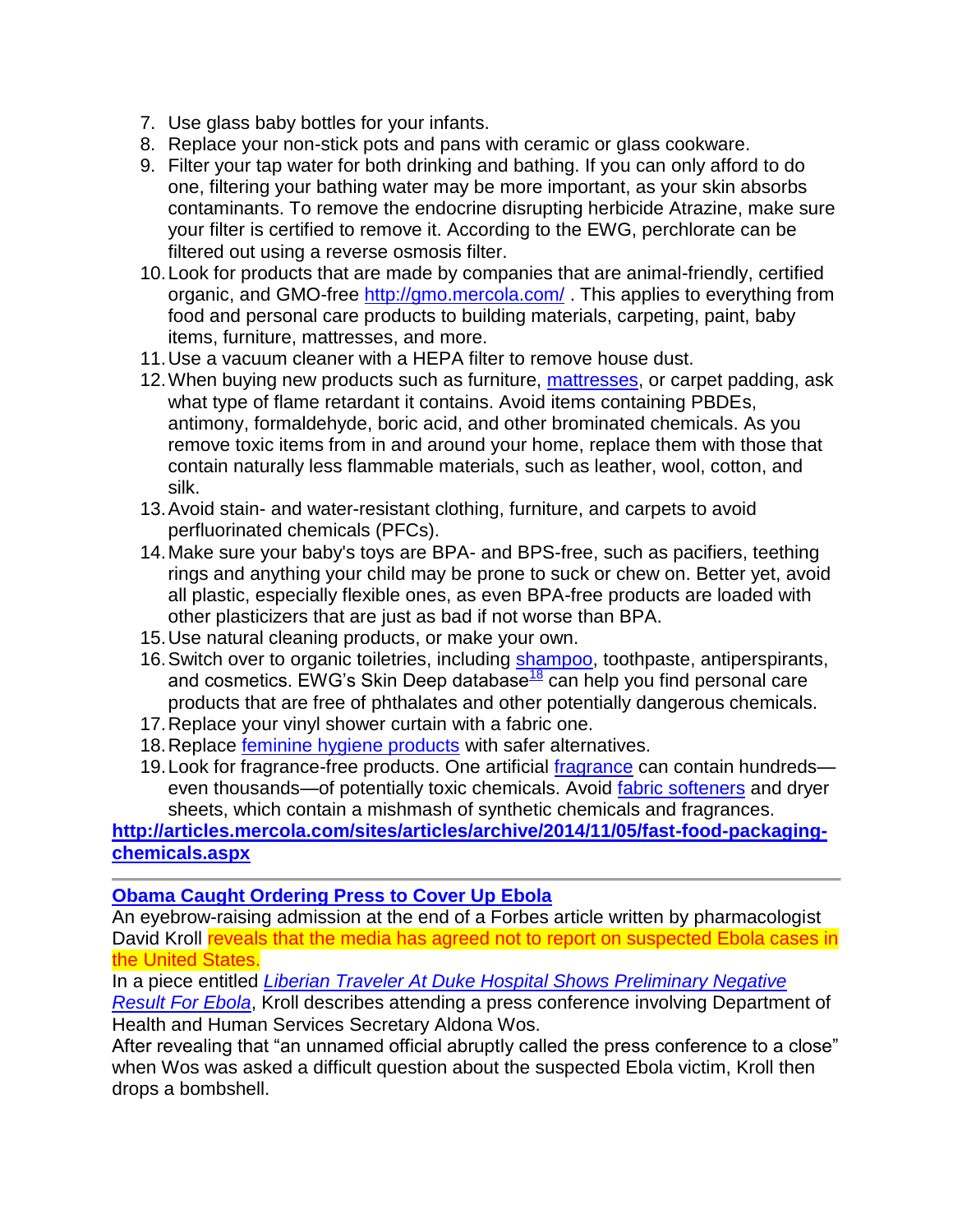- 7. Use glass baby bottles for your infants.
- 8. Replace your non-stick pots and pans with ceramic or glass cookware.
- 9. Filter your tap water for both drinking and bathing. If you can only afford to do one, filtering your bathing water may be more important, as your skin absorbs contaminants. To remove the endocrine disrupting herbicide Atrazine, make sure your filter is certified to remove it. According to the EWG, perchlorate can be filtered out using a reverse osmosis filter.
- 10.Look for products that are made by companies that are animal-friendly, certified organic, and GMO-free<http://gmo.mercola.com/> . This applies to everything from food and personal care products to building materials, carpeting, paint, baby items, furniture, mattresses, and more.
- 11.Use a vacuum cleaner with a HEPA filter to remove house dust.
- 12. When buying new products such as furniture, [mattresses,](http://articles.mercola.com/sites/articles/archive/2008/11/11/is-your-mattress-making-you-sick.aspx) or carpet padding, ask what type of flame retardant it contains. Avoid items containing PBDEs, antimony, formaldehyde, boric acid, and other brominated chemicals. As you remove toxic items from in and around your home, replace them with those that contain naturally less flammable materials, such as leather, wool, cotton, and silk.
- 13.Avoid stain- and water-resistant clothing, furniture, and carpets to avoid perfluorinated chemicals (PFCs).
- 14.Make sure your baby's toys are BPA- and BPS-free, such as pacifiers, teething rings and anything your child may be prone to suck or chew on. Better yet, avoid all plastic, especially flexible ones, as even BPA-free products are loaded with other plasticizers that are just as bad if not worse than BPA.
- 15.Use natural cleaning products, or make your own.
- 16. Switch over to organic toiletries, including [shampoo,](http://articles.mercola.com/sites/articles/archive/2011/07/18/is-your-shampoo-making-you-fat.aspx) toothpaste, antiperspirants, and cosmetics. EWG's Skin Deep database<sup>[18](http://articles.mercola.com/sites/articles/archive/2014/11/05/fast-food-packaging-chemicals.aspx?e_cid=20141105Z1_DNL_art_1&utm_source=dnl&utm_medium=email&utm_content=art1&utm_campaign=20141105Z1&et_cid=DM59355&et_rid=717991417#_edn18)</sup> can help you find personal care products that are free of phthalates and other potentially dangerous chemicals.
- 17.Replace your vinyl shower curtain with a fabric one.
- 18. Replace [feminine hygiene products](http://articles.mercola.com/sites/articles/archive/2013/05/22/feminine-hygiene-products.aspx) with safer alternatives.
- 19.Look for fragrance-free products. One artificial [fragrance](http://articles.mercola.com/sites/articles/archive/2011/05/07/scented-consumer-products-emit-unlisted-hazardous-chemicals.aspx) can contain hundreds even thousands—of potentially toxic chemicals. Avoid [fabric softeners](http://articles.mercola.com/sites/articles/archive/2012/04/26/toxins-from-laundry-products-emitted-from-dryer-vent.aspx) and dryer sheets, which contain a mishmash of synthetic chemicals and fragrances.

**[http://articles.mercola.com/sites/articles/archive/2014/11/05/fast-food-packaging](http://articles.mercola.com/sites/articles/archive/2014/11/05/fast-food-packaging-chemicals.aspx)[chemicals.aspx](http://articles.mercola.com/sites/articles/archive/2014/11/05/fast-food-packaging-chemicals.aspx)**

**[Obama Caught Ordering Press to Cover Up Ebola](http://www.infowars.com/media-agrees-not-to-report-on-suspected-ebola-cases-in-u-s/)** 

An eyebrow-raising admission at the end of a Forbes article written by pharmacologist David Kroll reveals that the media has agreed not to report on suspected Ebola cases in the United States.

In a piece entitled *[Liberian Traveler At Duke Hospital Shows Preliminary Negative](http://www.forbes.com/sites/davidkroll/2014/11/02/potential-ebola-patient-being-tested-at-duke-results-monday-morning/2/)  [Result For Ebola](http://www.forbes.com/sites/davidkroll/2014/11/02/potential-ebola-patient-being-tested-at-duke-results-monday-morning/2/)*, Kroll describes attending a press conference involving Department of Health and Human Services Secretary Aldona Wos.

After revealing that "an unnamed official abruptly called the press conference to a close" when Wos was asked a difficult question about the suspected Ebola victim, Kroll then drops a bombshell.